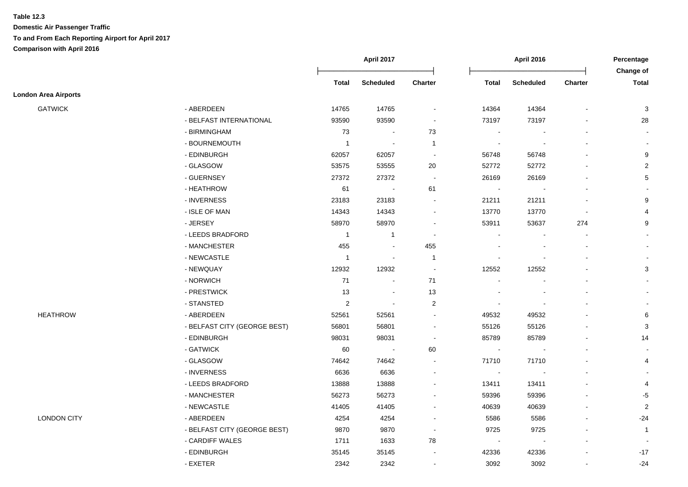|                             |                              | April 2017     |                  | <b>April 2016</b>        |                          |                          | Percentage               |                           |
|-----------------------------|------------------------------|----------------|------------------|--------------------------|--------------------------|--------------------------|--------------------------|---------------------------|
|                             |                              | <b>Total</b>   | <b>Scheduled</b> | Charter                  | <b>Total</b>             | <b>Scheduled</b>         | <b>Charter</b>           | Change of<br><b>Total</b> |
| <b>London Area Airports</b> |                              |                |                  |                          |                          |                          |                          |                           |
| <b>GATWICK</b>              | - ABERDEEN                   | 14765          | 14765            | $\sim$                   | 14364                    | 14364                    | $\blacksquare$           | 3                         |
|                             | - BELFAST INTERNATIONAL      | 93590          | 93590            | $\blacksquare$           | 73197                    | 73197                    |                          | 28                        |
|                             | - BIRMINGHAM                 | 73             | $\sim$           | 73                       | $\blacksquare$           |                          | $\blacksquare$           | $\sim$                    |
|                             | - BOURNEMOUTH                | -1             |                  | $\overline{1}$           | $\overline{\phantom{a}}$ | $\overline{\phantom{a}}$ |                          | $\blacksquare$            |
|                             | - EDINBURGH                  | 62057          | 62057            | $\sim$                   | 56748                    | 56748                    |                          | 9                         |
|                             | - GLASGOW                    | 53575          | 53555            | 20                       | 52772                    | 52772                    |                          | $\overline{2}$            |
|                             | - GUERNSEY                   | 27372          | 27372            | $\sim$                   | 26169                    | 26169                    | $\blacksquare$           | 5                         |
|                             | - HEATHROW                   | 61             | $\blacksquare$   | 61                       | $\blacksquare$           | $\overline{\phantom{a}}$ | $\blacksquare$           |                           |
|                             | - INVERNESS                  | 23183          | 23183            |                          | 21211                    | 21211                    | $\blacksquare$           | 9                         |
|                             | - ISLE OF MAN                | 14343          | 14343            | $\blacksquare$           | 13770                    | 13770                    | $\blacksquare$           | $\overline{4}$            |
|                             | - JERSEY                     | 58970          | 58970            | $\sim$                   | 53911                    | 53637                    | 274                      | 9                         |
|                             | - LEEDS BRADFORD             | $\overline{1}$ | $\mathbf{1}$     |                          | $\sim$                   |                          | $\overline{a}$           | $\sim$                    |
|                             | - MANCHESTER                 | 455            |                  | 455                      |                          |                          |                          | $\blacksquare$            |
|                             | - NEWCASTLE                  | $\mathbf{1}$   |                  | $\overline{1}$           |                          |                          |                          |                           |
|                             | - NEWQUAY                    | 12932          | 12932            | $\sim$                   | 12552                    | 12552                    |                          | $\mathbf{3}$              |
|                             | - NORWICH                    | $71$           | $\sim$           | 71                       |                          |                          |                          |                           |
|                             | - PRESTWICK                  | 13             | $\sim$           | 13                       | $\overline{\phantom{a}}$ |                          | $\blacksquare$           |                           |
|                             | - STANSTED                   | $\overline{c}$ |                  | $\overline{c}$           | $\overline{\phantom{a}}$ | $\overline{\phantom{a}}$ | $\blacksquare$           |                           |
| <b>HEATHROW</b>             | - ABERDEEN                   | 52561          | 52561            | $\sim$                   | 49532                    | 49532                    |                          | 6                         |
|                             | - BELFAST CITY (GEORGE BEST) | 56801          | 56801            |                          | 55126                    | 55126                    |                          | $\mathbf{3}$              |
|                             | - EDINBURGH                  | 98031          | 98031            | $\sim$                   | 85789                    | 85789                    |                          | 14                        |
|                             | - GATWICK                    | 60             | $\sim$           | 60                       | $\overline{\phantom{a}}$ |                          | $\blacksquare$           | $\sim$                    |
|                             | - GLASGOW                    | 74642          | 74642            | $\overline{\phantom{a}}$ | 71710                    | 71710                    | $\overline{\phantom{a}}$ | 4                         |
|                             | - INVERNESS                  | 6636           | 6636             |                          | $\sim$                   | $\blacksquare$           |                          |                           |
|                             | - LEEDS BRADFORD             | 13888          | 13888            | $\sim$                   | 13411                    | 13411                    | $\overline{a}$           | 4                         |
|                             | - MANCHESTER                 | 56273          | 56273            |                          | 59396                    | 59396                    |                          | $-5$                      |
|                             | - NEWCASTLE                  | 41405          | 41405            |                          | 40639                    | 40639                    | $\blacksquare$           | $\overline{2}$            |
| <b>LONDON CITY</b>          | - ABERDEEN                   | 4254           | 4254             |                          | 5586                     | 5586                     |                          | $-24$                     |
|                             | - BELFAST CITY (GEORGE BEST) | 9870           | 9870             | $\sim$                   | 9725                     | 9725                     |                          | $\mathbf{1}$              |
|                             | - CARDIFF WALES              | 1711           | 1633             | 78                       |                          |                          |                          |                           |
|                             | - EDINBURGH                  | 35145          | 35145            |                          | 42336                    | 42336                    |                          | $-17$                     |
|                             | - EXETER                     | 2342           | 2342             |                          | 3092                     | 3092                     | $\blacksquare$           | $-24$                     |
|                             |                              |                |                  |                          |                          |                          |                          |                           |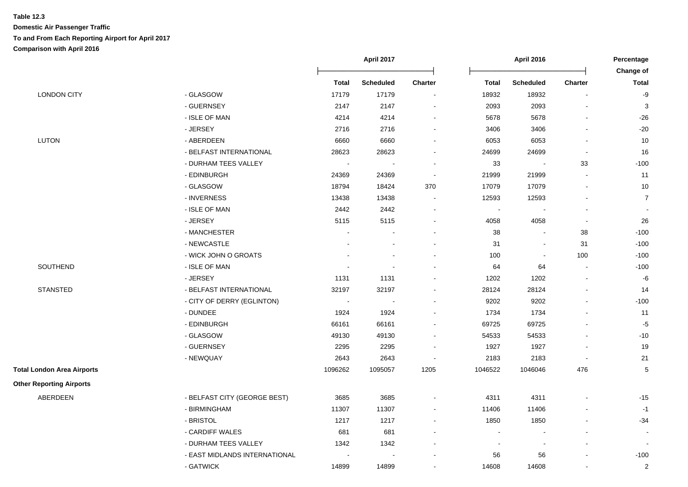|                                   |                               | April 2017   |                          |                | <b>April 2016</b> |                          |                |                           |
|-----------------------------------|-------------------------------|--------------|--------------------------|----------------|-------------------|--------------------------|----------------|---------------------------|
|                                   |                               | <b>Total</b> | <b>Scheduled</b>         | <b>Charter</b> | <b>Total</b>      | <b>Scheduled</b>         | <b>Charter</b> | Change of<br><b>Total</b> |
| <b>LONDON CITY</b>                | - GLASGOW                     | 17179        | 17179                    | $\blacksquare$ | 18932             | 18932                    | $\sim$         | -9                        |
|                                   | - GUERNSEY                    | 2147         | 2147                     | $\blacksquare$ | 2093              | 2093                     | $\blacksquare$ | $\mathbf{3}$              |
|                                   | - ISLE OF MAN                 | 4214         | 4214                     | ä,             | 5678              | 5678                     | $\blacksquare$ | $-26$                     |
|                                   | - JERSEY                      | 2716         | 2716                     | ۰              | 3406              | 3406                     |                | $-20$                     |
| LUTON                             | - ABERDEEN                    | 6660         | 6660                     | $\blacksquare$ | 6053              | 6053                     | $\blacksquare$ | 10                        |
|                                   | - BELFAST INTERNATIONAL       | 28623        | 28623                    | ÷              | 24699             | 24699                    | $\blacksquare$ | 16                        |
|                                   | - DURHAM TEES VALLEY          | $\sim$       | $\overline{\phantom{a}}$ | $\blacksquare$ | 33                | $\blacksquare$           | 33             | $-100$                    |
|                                   | - EDINBURGH                   | 24369        | 24369                    | $\overline{a}$ | 21999             | 21999                    |                | 11                        |
|                                   | - GLASGOW                     | 18794        | 18424                    | 370            | 17079             | 17079                    |                | 10                        |
|                                   | - INVERNESS                   | 13438        | 13438                    | $\blacksquare$ | 12593             | 12593                    | $\blacksquare$ | $\overline{7}$            |
|                                   | - ISLE OF MAN                 | 2442         | 2442                     | ä,             | $\sim$            |                          |                | $\blacksquare$            |
|                                   | - JERSEY                      | 5115         | 5115                     | $\blacksquare$ | 4058              | 4058                     | $\blacksquare$ | 26                        |
|                                   | - MANCHESTER                  |              | $\overline{\phantom{a}}$ | $\blacksquare$ | 38                | $\blacksquare$           | 38             | $-100$                    |
|                                   | - NEWCASTLE                   |              | $\sim$                   | $\overline{a}$ | 31                | $\sim$                   | 31             | $-100$                    |
|                                   | - WICK JOHN O GROATS          |              | $\blacksquare$           |                | 100               | $\blacksquare$           | 100            | $-100$                    |
| SOUTHEND                          | - ISLE OF MAN                 |              | $\sim$                   | $\blacksquare$ | 64                | 64                       | $\blacksquare$ | $-100$                    |
|                                   | - JERSEY                      | 1131         | 1131                     | $\sim$         | 1202              | 1202                     | $\blacksquare$ | $-6$                      |
| <b>STANSTED</b>                   | - BELFAST INTERNATIONAL       | 32197        | 32197                    | $\blacksquare$ | 28124             | 28124                    | $\blacksquare$ | 14                        |
|                                   | - CITY OF DERRY (EGLINTON)    | $\sim$       | $\sim$                   | ä,             | 9202              | 9202                     | $\blacksquare$ | $-100$                    |
|                                   | - DUNDEE                      | 1924         | 1924                     |                | 1734              | 1734                     | $\blacksquare$ | 11                        |
|                                   | - EDINBURGH                   | 66161        | 66161                    | $\blacksquare$ | 69725             | 69725                    | $\blacksquare$ | $-5$                      |
|                                   | - GLASGOW                     | 49130        | 49130                    | ÷              | 54533             | 54533                    | $\overline{a}$ | $-10$                     |
|                                   | - GUERNSEY                    | 2295         | 2295                     | $\blacksquare$ | 1927              | 1927                     | $\blacksquare$ | 19                        |
|                                   | - NEWQUAY                     | 2643         | 2643                     | $\blacksquare$ | 2183              | 2183                     | $\blacksquare$ | 21                        |
| <b>Total London Area Airports</b> |                               | 1096262      | 1095057                  | 1205           | 1046522           | 1046046                  | 476            | 5                         |
| <b>Other Reporting Airports</b>   |                               |              |                          |                |                   |                          |                |                           |
| ABERDEEN                          | - BELFAST CITY (GEORGE BEST)  | 3685         | 3685                     |                | 4311              | 4311                     |                | $-15$                     |
|                                   | - BIRMINGHAM                  | 11307        | 11307                    | $\blacksquare$ | 11406             | 11406                    |                | $-1$                      |
|                                   | - BRISTOL                     | 1217         | 1217                     | ä,             | 1850              | 1850                     |                | $-34$                     |
|                                   | - CARDIFF WALES               | 681          | 681                      |                | $\sim$            |                          |                | $\sim$                    |
|                                   | - DURHAM TEES VALLEY          | 1342         | 1342                     |                | $\blacksquare$    | $\overline{\phantom{a}}$ |                | $\overline{\phantom{a}}$  |
|                                   | - EAST MIDLANDS INTERNATIONAL |              |                          |                | 56                | 56                       |                | $-100$                    |
|                                   | - GATWICK                     | 14899        | 14899                    |                | 14608             | 14608                    |                | $\overline{\mathbf{c}}$   |
|                                   |                               |              |                          |                |                   |                          |                |                           |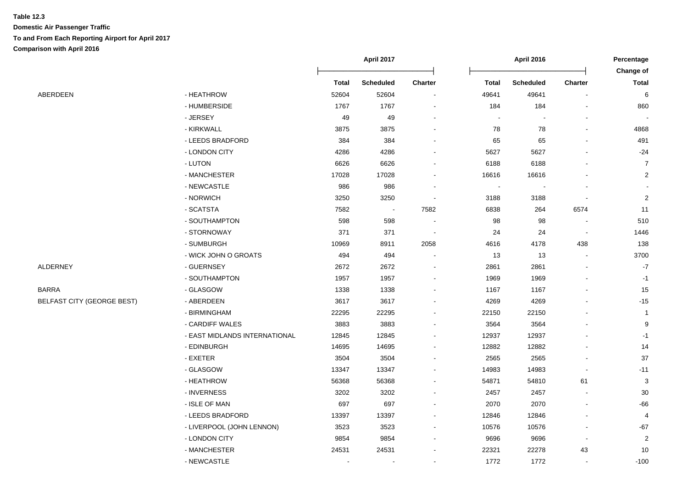|                                   |                               | April 2017   |                  | April 2016                   |                |                          | Percentage<br>Change of  |                |
|-----------------------------------|-------------------------------|--------------|------------------|------------------------------|----------------|--------------------------|--------------------------|----------------|
|                                   |                               | <b>Total</b> | <b>Scheduled</b> | Charter                      | <b>Total</b>   | <b>Scheduled</b>         | <b>Charter</b>           | <b>Total</b>   |
| ABERDEEN                          | - HEATHROW                    | 52604        | 52604            |                              | 49641          | 49641                    |                          | 6              |
|                                   | - HUMBERSIDE                  | 1767         | 1767             |                              | 184            | 184                      |                          | 860            |
|                                   | - JERSEY                      | 49           | 49               |                              |                |                          |                          |                |
|                                   | - KIRKWALL                    | 3875         | 3875             |                              | 78             | 78                       |                          | 4868           |
|                                   | - LEEDS BRADFORD              | 384          | 384              |                              | 65             | 65                       |                          | 491            |
|                                   | - LONDON CITY                 | 4286         | 4286             |                              | 5627           | 5627                     |                          | $-24$          |
|                                   | - LUTON                       | 6626         | 6626             |                              | 6188           | 6188                     |                          | $\overline{7}$ |
|                                   | - MANCHESTER                  | 17028        | 17028            |                              | 16616          | 16616                    |                          | $\overline{2}$ |
|                                   | - NEWCASTLE                   | 986          | 986              | $\blacksquare$               | $\blacksquare$ | $\overline{\phantom{a}}$ |                          |                |
|                                   | - NORWICH                     | 3250         | 3250             | $\blacksquare$               | 3188           | 3188                     |                          | $\overline{c}$ |
|                                   | - SCATSTA                     | 7582         | $\sim$           | 7582                         | 6838           | 264                      | 6574                     | 11             |
|                                   | - SOUTHAMPTON                 | 598          | 598              |                              | 98             | 98                       |                          | 510            |
|                                   | - STORNOWAY                   | 371          | 371              |                              | 24             | 24                       |                          | 1446           |
|                                   | - SUMBURGH                    | 10969        | 8911             | 2058                         | 4616           | 4178                     | 438                      | 138            |
|                                   | - WICK JOHN O GROATS          | 494          | 494              |                              | 13             | 13                       |                          | 3700           |
| ALDERNEY                          | - GUERNSEY                    | 2672         | 2672             |                              | 2861           | 2861                     |                          | $-7$           |
|                                   | - SOUTHAMPTON                 | 1957         | 1957             |                              | 1969           | 1969                     |                          | $-1$           |
| <b>BARRA</b>                      | - GLASGOW                     | 1338         | 1338             |                              | 1167           | 1167                     |                          | 15             |
| <b>BELFAST CITY (GEORGE BEST)</b> | - ABERDEEN                    | 3617         | 3617             |                              | 4269           | 4269                     |                          | $-15$          |
|                                   | - BIRMINGHAM                  | 22295        | 22295            |                              | 22150          | 22150                    |                          | $\mathbf{1}$   |
|                                   | - CARDIFF WALES               | 3883         | 3883             |                              | 3564           | 3564                     |                          | 9              |
|                                   | - EAST MIDLANDS INTERNATIONAL | 12845        | 12845            |                              | 12937          | 12937                    |                          | $-1$           |
|                                   | - EDINBURGH                   | 14695        | 14695            |                              | 12882          | 12882                    |                          | 14             |
|                                   | - EXETER                      | 3504         | 3504             |                              | 2565           | 2565                     |                          | 37             |
|                                   | - GLASGOW                     | 13347        | 13347            |                              | 14983          | 14983                    |                          | $-11$          |
|                                   | - HEATHROW                    | 56368        | 56368            |                              | 54871          | 54810                    | 61                       | 3              |
|                                   | - INVERNESS                   | 3202         | 3202             | ۰                            | 2457           | 2457                     | $\overline{\phantom{a}}$ | 30             |
|                                   | - ISLE OF MAN                 | 697          | 697              | $\qquad \qquad \blacksquare$ | 2070           | 2070                     | $\sim$                   | $-66$          |
|                                   | - LEEDS BRADFORD              | 13397        | 13397            |                              | 12846          | 12846                    |                          | 4              |
|                                   | - LIVERPOOL (JOHN LENNON)     | 3523         | 3523             |                              | 10576          | 10576                    |                          | $-67$          |
|                                   | - LONDON CITY                 | 9854         | 9854             |                              | 9696           | 9696                     |                          | $\overline{2}$ |
|                                   | - MANCHESTER                  | 24531        | 24531            |                              | 22321          | 22278                    | 43                       | 10             |
|                                   | - NEWCASTLE                   |              |                  |                              | 1772           | 1772                     |                          | $-100$         |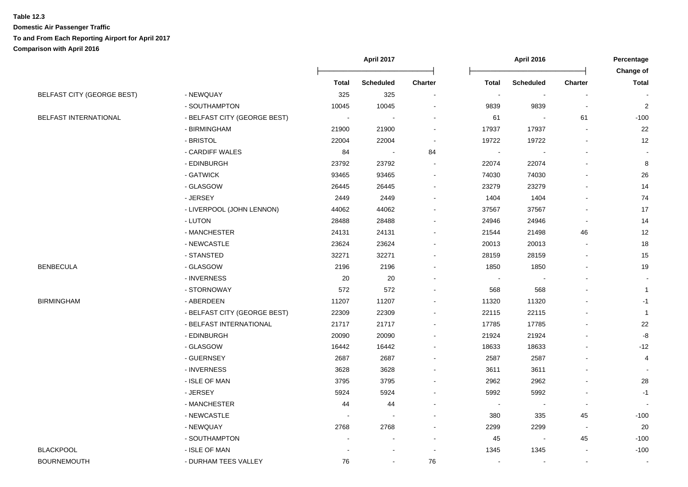|                                   |                              | <b>April 2017</b> |                  | <b>April 2016</b>        |        |                          | Percentage               |                           |
|-----------------------------------|------------------------------|-------------------|------------------|--------------------------|--------|--------------------------|--------------------------|---------------------------|
|                                   |                              | Total             | <b>Scheduled</b> | <b>Charter</b>           | Total  | <b>Scheduled</b>         | <b>Charter</b>           | Change of<br><b>Total</b> |
| <b>BELFAST CITY (GEORGE BEST)</b> | - NEWQUAY                    | 325               | 325              | $\sim$                   | $\sim$ | $\sim$                   | $\blacksquare$           |                           |
|                                   | - SOUTHAMPTON                | 10045             | 10045            |                          | 9839   | 9839                     | $\blacksquare$           | $\overline{c}$            |
| BELFAST INTERNATIONAL             | - BELFAST CITY (GEORGE BEST) |                   |                  |                          | 61     |                          | 61                       | $-100$                    |
|                                   | - BIRMINGHAM                 | 21900             | 21900            |                          | 17937  | 17937                    |                          | 22                        |
|                                   | - BRISTOL                    | 22004             | 22004            |                          | 19722  | 19722                    | $\overline{a}$           | 12                        |
|                                   | - CARDIFF WALES              | 84                |                  | 84                       |        |                          | $\overline{a}$           |                           |
|                                   | - EDINBURGH                  | 23792             | 23792            | $\sim$                   | 22074  | 22074                    |                          | 8                         |
|                                   | - GATWICK                    | 93465             | 93465            | $\blacksquare$           | 74030  | 74030                    |                          | 26                        |
|                                   | - GLASGOW                    | 26445             | 26445            | $\sim$                   | 23279  | 23279                    |                          | 14                        |
|                                   | - JERSEY                     | 2449              | 2449             | $\overline{\phantom{a}}$ | 1404   | 1404                     | $\blacksquare$           | 74                        |
|                                   | - LIVERPOOL (JOHN LENNON)    | 44062             | 44062            | $\sim$                   | 37567  | 37567                    | $\blacksquare$           | 17                        |
|                                   | - LUTON                      | 28488             | 28488            | $\sim$                   | 24946  | 24946                    | $\overline{\phantom{a}}$ | 14                        |
|                                   | - MANCHESTER                 | 24131             | 24131            |                          | 21544  | 21498                    | 46                       | 12                        |
|                                   | - NEWCASTLE                  | 23624             | 23624            |                          | 20013  | 20013                    |                          | 18                        |
|                                   | - STANSTED                   | 32271             | 32271            |                          | 28159  | 28159                    |                          | 15                        |
| <b>BENBECULA</b>                  | - GLASGOW                    | 2196              | 2196             |                          | 1850   | 1850                     |                          | 19                        |
|                                   | - INVERNESS                  | 20                | 20               | $\overline{\phantom{a}}$ |        |                          | $\overline{a}$           | $\overline{\phantom{a}}$  |
|                                   | - STORNOWAY                  | 572               | 572              |                          | 568    | 568                      |                          | $\mathbf{1}$              |
| <b>BIRMINGHAM</b>                 | - ABERDEEN                   | 11207             | 11207            |                          | 11320  | 11320                    |                          | $-1$                      |
|                                   | - BELFAST CITY (GEORGE BEST) | 22309             | 22309            |                          | 22115  | 22115                    |                          | $\overline{1}$            |
|                                   | - BELFAST INTERNATIONAL      | 21717             | 21717            | $\blacksquare$           | 17785  | 17785                    |                          | 22                        |
|                                   | - EDINBURGH                  | 20090             | 20090            |                          | 21924  | 21924                    |                          | $-8$                      |
|                                   | - GLASGOW                    | 16442             | 16442            |                          | 18633  | 18633                    |                          | $-12$                     |
|                                   | - GUERNSEY                   | 2687              | 2687             |                          | 2587   | 2587                     |                          | $\overline{4}$            |
|                                   | - INVERNESS                  | 3628              | 3628             |                          | 3611   | 3611                     |                          |                           |
|                                   | - ISLE OF MAN                | 3795              | 3795             |                          | 2962   | 2962                     |                          | 28                        |
|                                   | - JERSEY                     | 5924              | 5924             |                          | 5992   | 5992                     | $\blacksquare$           | $-1$                      |
|                                   | - MANCHESTER                 | 44                | 44               | $\overline{\phantom{a}}$ |        | $\overline{\phantom{a}}$ | $\blacksquare$           |                           |
|                                   | - NEWCASTLE                  |                   |                  |                          | 380    | 335                      | 45                       | $-100$                    |
|                                   | - NEWQUAY                    | 2768              | 2768             |                          | 2299   | 2299                     | $\blacksquare$           | 20                        |
|                                   | - SOUTHAMPTON                |                   |                  | $\overline{\phantom{a}}$ | 45     | $\blacksquare$           | 45                       | $-100$                    |
| <b>BLACKPOOL</b>                  | - ISLE OF MAN                |                   |                  | $\overline{\phantom{a}}$ | 1345   | 1345                     | $\blacksquare$           | $-100$                    |
| <b>BOURNEMOUTH</b>                | - DURHAM TEES VALLEY         | 76                | $\sim$           | 76                       |        |                          | $\sim$                   | $\sim$                    |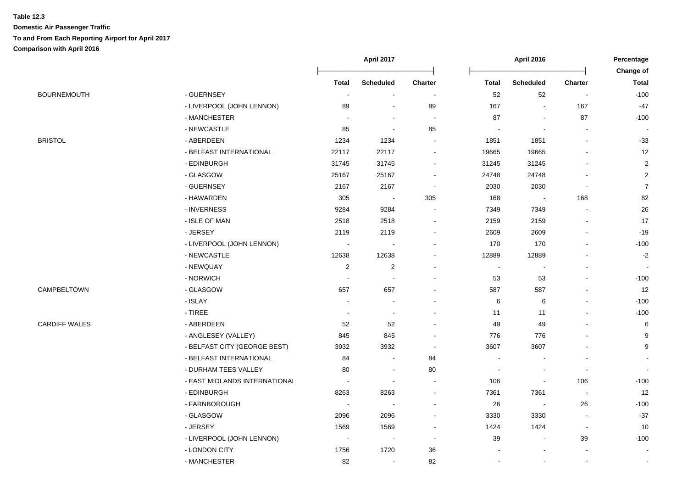|                      |                               | April 2017               |                          |                          | <b>April 2016</b>        |                          |                          |                           |
|----------------------|-------------------------------|--------------------------|--------------------------|--------------------------|--------------------------|--------------------------|--------------------------|---------------------------|
|                      |                               | <b>Total</b>             | <b>Scheduled</b>         | <b>Charter</b>           | <b>Total</b>             | <b>Scheduled</b>         | <b>Charter</b>           | Change of<br><b>Total</b> |
| <b>BOURNEMOUTH</b>   | - GUERNSEY                    | $\blacksquare$           | $\overline{\phantom{a}}$ | $\blacksquare$           | 52                       | 52                       | $\overline{\phantom{a}}$ | $-100$                    |
|                      | - LIVERPOOL (JOHN LENNON)     | 89                       |                          | 89                       | 167                      | $\blacksquare$           | 167                      | $-47$                     |
|                      | - MANCHESTER                  |                          |                          | $\overline{\phantom{a}}$ | 87                       | $\blacksquare$           | 87                       | $-100$                    |
|                      | - NEWCASTLE                   | 85                       | $\overline{\phantom{a}}$ | 85                       |                          |                          |                          |                           |
| <b>BRISTOL</b>       | - ABERDEEN                    | 1234                     | 1234                     |                          | 1851                     | 1851                     | $\sim$                   | $-33$                     |
|                      | - BELFAST INTERNATIONAL       | 22117                    | 22117                    |                          | 19665                    | 19665                    |                          | 12                        |
|                      | - EDINBURGH                   | 31745                    | 31745                    |                          | 31245                    | 31245                    |                          | $\overline{2}$            |
|                      | - GLASGOW                     | 25167                    | 25167                    |                          | 24748                    | 24748                    |                          | $\overline{2}$            |
|                      | - GUERNSEY                    | 2167                     | 2167                     | $\overline{\phantom{a}}$ | 2030                     | 2030                     | $\sim$                   | $\overline{7}$            |
|                      | - HAWARDEN                    | 305                      | $\blacksquare$           | 305                      | 168                      | $\overline{\phantom{a}}$ | 168                      | 82                        |
|                      | - INVERNESS                   | 9284                     | 9284                     | $\blacksquare$           | 7349                     | 7349                     | $\overline{\phantom{a}}$ | $26\,$                    |
|                      | - ISLE OF MAN                 | 2518                     | 2518                     | $\blacksquare$           | 2159                     | 2159                     | $\overline{a}$           | 17                        |
|                      | - JERSEY                      | 2119                     | 2119                     |                          | 2609                     | 2609                     | $\blacksquare$           | $-19$                     |
|                      | - LIVERPOOL (JOHN LENNON)     | $\sim$                   | ÷,                       |                          | 170                      | 170                      | $\overline{a}$           | $-100$                    |
|                      | - NEWCASTLE                   | 12638                    | 12638                    |                          | 12889                    | 12889                    |                          | $-2$                      |
|                      | - NEWQUAY                     | $\sqrt{2}$               | $\mathbf{2}$             |                          |                          | ÷,                       |                          |                           |
|                      | - NORWICH                     | $\overline{\phantom{a}}$ | $\overline{\phantom{a}}$ |                          | 53                       | 53                       |                          | $-100$                    |
| CAMPBELTOWN          | - GLASGOW                     | 657                      | 657                      |                          | 587                      | 587                      |                          | 12                        |
|                      | - ISLAY                       |                          |                          |                          | 6                        | $\,6$                    |                          | $-100$                    |
|                      | $-$ TIREE                     | $\overline{\phantom{a}}$ | $\overline{\phantom{a}}$ |                          | 11                       | 11                       |                          | $-100$                    |
| <b>CARDIFF WALES</b> | - ABERDEEN                    | 52                       | 52                       |                          | 49                       | 49                       |                          | 6                         |
|                      | - ANGLESEY (VALLEY)           | 845                      | 845                      |                          | 776                      | 776                      |                          | 9                         |
|                      | - BELFAST CITY (GEORGE BEST)  | 3932                     | 3932                     | $\overline{\phantom{a}}$ | 3607                     | 3607                     |                          | 9                         |
|                      | - BELFAST INTERNATIONAL       | 84                       | $\overline{\phantom{a}}$ | 84                       | $\overline{\phantom{a}}$ |                          | $\blacksquare$           |                           |
|                      | - DURHAM TEES VALLEY          | 80                       | $\blacksquare$           | 80                       | $\blacksquare$           | $\overline{\phantom{a}}$ | $\blacksquare$           |                           |
|                      | - EAST MIDLANDS INTERNATIONAL | $\sim$                   | $\overline{\phantom{a}}$ |                          | 106                      | $\blacksquare$           | 106                      | $-100$                    |
|                      | - EDINBURGH                   | 8263                     | 8263                     | $\overline{a}$           | 7361                     | 7361                     | $\sim$                   | 12                        |
|                      | - FARNBOROUGH                 | $\overline{\phantom{a}}$ |                          |                          | 26                       | $\blacksquare$           | $26\,$                   | $-100$                    |
|                      | - GLASGOW                     | 2096                     | 2096                     |                          | 3330                     | 3330                     | $\blacksquare$           | $-37$                     |
|                      | - JERSEY                      | 1569                     | 1569                     |                          | 1424                     | 1424                     | $\blacksquare$           | 10                        |
|                      | - LIVERPOOL (JOHN LENNON)     | $\overline{\phantom{a}}$ | $\overline{\phantom{a}}$ | $\overline{a}$           | 39                       | $\blacksquare$           | 39                       | $-100$                    |
|                      | - LONDON CITY                 | 1756                     | 1720                     | 36                       |                          |                          |                          | $\blacksquare$            |
|                      | - MANCHESTER                  | 82                       | $\sim$                   | 82                       |                          |                          |                          | $\sim$                    |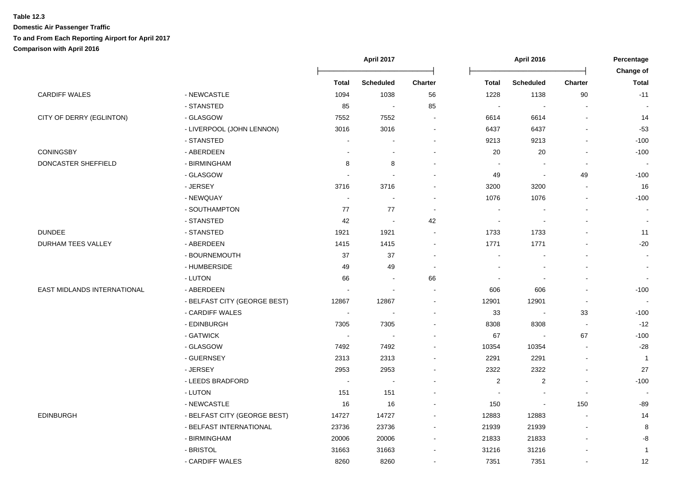|                             |                              | <b>April 2017</b> |                  |                | <b>April 2016</b>       | Percentage<br>Change of  |                          |              |
|-----------------------------|------------------------------|-------------------|------------------|----------------|-------------------------|--------------------------|--------------------------|--------------|
|                             |                              | <b>Total</b>      | <b>Scheduled</b> | <b>Charter</b> | <b>Total</b>            | <b>Scheduled</b>         | <b>Charter</b>           | <b>Total</b> |
| <b>CARDIFF WALES</b>        | - NEWCASTLE                  | 1094              | 1038             | 56             | 1228                    | 1138                     | 90                       | $-11$        |
|                             | - STANSTED                   | 85                |                  | 85             | $\blacksquare$          | $\overline{\phantom{a}}$ |                          |              |
| CITY OF DERRY (EGLINTON)    | - GLASGOW                    | 7552              | 7552             |                | 6614                    | 6614                     |                          | 14           |
|                             | - LIVERPOOL (JOHN LENNON)    | 3016              | 3016             |                | 6437                    | 6437                     |                          | $-53$        |
|                             | - STANSTED                   |                   |                  |                | 9213                    | 9213                     |                          | $-100$       |
| <b>CONINGSBY</b>            | - ABERDEEN                   |                   |                  |                | 20                      | 20                       |                          | $-100$       |
| DONCASTER SHEFFIELD         | - BIRMINGHAM                 | 8                 | 8                |                |                         |                          | $\overline{\phantom{a}}$ |              |
|                             | - GLASGOW                    |                   |                  |                | 49                      |                          | 49                       | $-100$       |
|                             | - JERSEY                     | 3716              | 3716             |                | 3200                    | 3200                     | $\overline{a}$           | 16           |
|                             | - NEWQUAY                    | $\blacksquare$    |                  |                | 1076                    | 1076                     | $\blacksquare$           | $-100$       |
|                             | - SOUTHAMPTON                | 77                | 77               | $\blacksquare$ |                         |                          |                          |              |
|                             | - STANSTED                   | 42                | $\sim$           | 42             |                         |                          |                          |              |
| <b>DUNDEE</b>               | - STANSTED                   | 1921              | 1921             |                | 1733                    | 1733                     |                          | 11           |
| <b>DURHAM TEES VALLEY</b>   | - ABERDEEN                   | 1415              | 1415             |                | 1771                    | 1771                     |                          | $-20$        |
|                             | - BOURNEMOUTH                | 37                | 37               |                |                         |                          |                          |              |
|                             | - HUMBERSIDE                 | 49                | 49               |                |                         |                          |                          |              |
|                             | - LUTON                      | 66                |                  | 66             |                         |                          |                          |              |
| EAST MIDLANDS INTERNATIONAL | - ABERDEEN                   |                   |                  |                | 606                     | 606                      |                          | $-100$       |
|                             | - BELFAST CITY (GEORGE BEST) | 12867             | 12867            |                | 12901                   | 12901                    | $\blacksquare$           | $\sim$       |
|                             | - CARDIFF WALES              |                   |                  |                | 33                      | $\overline{\phantom{a}}$ | 33                       | $-100$       |
|                             | - EDINBURGH                  | 7305              | 7305             |                | 8308                    | 8308                     | $\overline{a}$           | $-12$        |
|                             | - GATWICK                    |                   |                  |                | 67                      | $\blacksquare$           | 67                       | $-100$       |
|                             | - GLASGOW                    | 7492              | 7492             |                | 10354                   | 10354                    |                          | $-28$        |
|                             | - GUERNSEY                   | 2313              | 2313             |                | 2291                    | 2291                     | $\blacksquare$           | $\mathbf{1}$ |
|                             | - JERSEY                     | 2953              | 2953             |                | 2322                    | 2322                     | $\blacksquare$           | 27           |
|                             | - LEEDS BRADFORD             | $\sim$            |                  |                | $\overline{\mathbf{c}}$ | $\overline{2}$           | $\sim$                   | $-100$       |
|                             | - LUTON                      | 151               | 151              |                |                         |                          | $\overline{\phantom{a}}$ |              |
|                             | - NEWCASTLE                  | 16                | 16               |                | 150                     |                          | 150                      | -89          |
| EDINBURGH                   | - BELFAST CITY (GEORGE BEST) | 14727             | 14727            |                | 12883                   | 12883                    |                          | 14           |
|                             | - BELFAST INTERNATIONAL      | 23736             | 23736            |                | 21939                   | 21939                    |                          | 8            |
|                             | - BIRMINGHAM                 | 20006             | 20006            |                | 21833                   | 21833                    |                          | -8           |
|                             | - BRISTOL                    | 31663             | 31663            |                | 31216                   | 31216                    |                          | $\mathbf{1}$ |
|                             | - CARDIFF WALES              | 8260              | 8260             |                | 7351                    | 7351                     | $\overline{\phantom{a}}$ | 12           |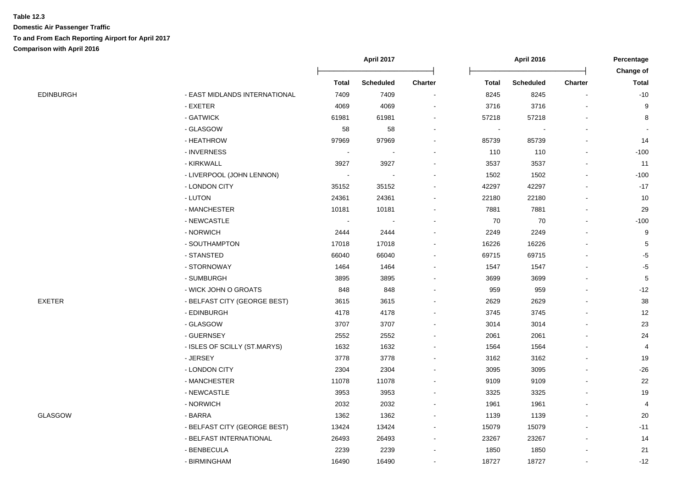|           |                               | <b>Total</b> | <b>Scheduled</b> | Charter | <b>Total</b> | <b>Scheduled</b> | Charter | Total  |
|-----------|-------------------------------|--------------|------------------|---------|--------------|------------------|---------|--------|
| EDINBURGH | - EAST MIDLANDS INTERNATIONAL | 7409         | 7409             |         | 8245         | 8245             |         | $-10$  |
|           | - EXETER                      | 4069         | 4069             |         | 3716         | 3716             |         |        |
|           | - GATWICK                     | 61981        | 61981            |         | 57218        | 57218            |         | 8      |
|           | - GLASGOW                     | 58           | 58               |         |              |                  |         |        |
|           | - HEATHROW                    | 97969        | 97969            |         | 85739        | 85739            |         | 14     |
|           | - INVERNESS                   |              |                  |         | 110          | 110              |         | $-100$ |
|           | - KIRKWALL                    | 3927         | 3927             |         | 3537         | 3537             |         | 11     |
|           | - LIVERPOOL (JOHN LENNON)     |              |                  |         | 1502         | 1502             |         | $-100$ |
|           | - LONDON CITY                 | 35152        | 35152            |         | 42297        | 42297            |         | $-17$  |
|           | - LUTON                       | 24361        | 24361            |         | 22180        | 22180            |         | 10     |
|           | - MANCHESTER                  | 10181        | 10181            |         | 7881         | 7881             |         | 29     |
|           | - NEWCASTLE                   |              |                  |         | 70           | 70               |         | $-100$ |
|           | - NORWICH                     | 2444         | 2444             |         | 2249         | 2249             |         | 9      |
|           | - SOUTHAMPTON                 | 17018        | 17018            |         | 16226        | 16226            |         | 5      |
|           | - STANSTED                    | 66040        | 66040            |         | 69715        | 69715            |         | -5     |
|           | - STORNOWAY                   | 1464         | 1464             |         | 1547         | 1547             |         | -5     |
|           | - SUMBURGH                    | 3895         | 3895             |         | 3699         | 3699             |         | 5      |
|           | - WICK JOHN O GROATS          | 848          | 848              |         | 959          | 959              |         | $-12$  |
| EXETER    | - BELFAST CITY (GEORGE BEST)  | 3615         | 3615             |         | 2629         | 2629             |         | 38     |
|           | - EDINBURGH                   | 4178         | 4178             |         | 3745         | 3745             |         | 12     |
|           | - GLASGOW                     | 3707         | 3707             |         | 3014         | 3014             |         | 23     |
|           | - GUERNSEY                    | 2552         | 2552             |         | 2061         | 2061             |         | 24     |
|           | - ISLES OF SCILLY (ST.MARYS)  | 1632         | 1632             |         | 1564         | 1564             |         |        |
|           | - JERSEY                      | 3778         | 3778             |         | 3162         | 3162             |         | 19     |
|           | - LONDON CITY                 | 2304         | 2304             |         | 3095         | 3095             |         | $-26$  |
|           | - MANCHESTER                  | 11078        | 11078            |         | 9109         | 9109             |         | 22     |
|           | - NEWCASTLE                   | 3953         | 3953             |         | 3325         | 3325             |         | 19     |
|           | - NORWICH                     | 2032         | 2032             |         | 1961         | 1961             |         |        |
| GLASGOW   | - BARRA                       | 1362         | 1362             |         | 1139         | 1139             |         | 20     |
|           | - BELFAST CITY (GEORGE BEST)  | 13424        | 13424            |         | 15079        | 15079            |         | $-11$  |
|           | - BELFAST INTERNATIONAL       | 26493        | 26493            |         | 23267        | 23267            |         | 14     |

- BENBECULA 2239 2239 - 1850 1850 - 21 - BIRMINGHAM 16490 16490 - 18727 18727 - -12

**April 2017 April 2016 Percentage**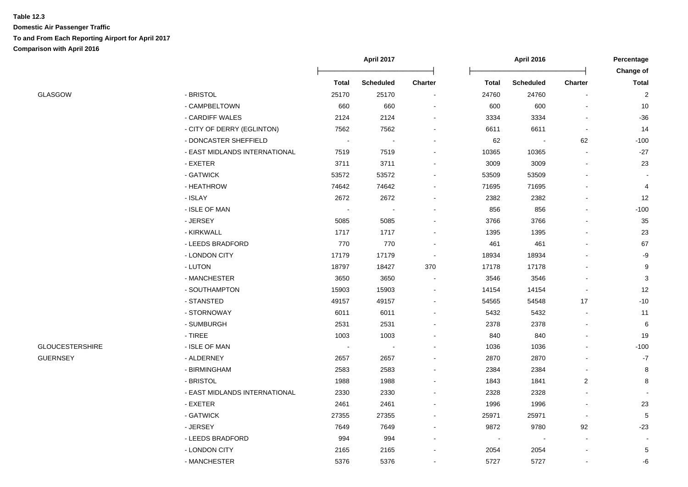**April 2017 April 2016 Percentage** Ōņņņņņņņņņņņņņņņņņņņņņņņņō Ōņņņņņņņņņņņņņņņņņņņņņņņņō **Change of Total Scheduled Charter Total Scheduled Charter Total** GLASGOW - BRISTOL 25170 25170 - 24760 24760 - 2 - CAMPBELTOWN 660 660 - 600 600 - 10 - CARDIFF WALES 2124 2124 - 3334 3334 - -36 - CITY OF DERRY (EGLINTON) 7562 7562 7562 - 6611 6611 - 14 - DONCASTER SHEFFIELD - - - 62 - 62 -100 - EAST MIDLANDS INTERNATIONAL 7519 7519 - 10365 10365 - -27 - EXETER 3711 3711 - 3009 3009 - 23 - GATWICK 53572 53572 - 53509 53509 - - - HEATHROW 74642 74642 - 71695 71695 - 4 - ISLAY 2672 2672 - 2382 2382 - 12 - ISLE OF MAN - - - 856 856 - -100 - JERSEY 5085 5085 - 3766 3766 - 35 - KIRKWALL 1717 1717 - 1395 1395 - 23 - LEEDS BRADFORD 770 770 - 461 461 - 67 - LONDON CITY 17179 17179 - 18934 18934 - -9 - LUTON 18797 18427 370 17178 17178 - 9 - MANCHESTER 3650 3650 - 3546 3546 - 3 - SOUTHAMPTON 15903 15903 - 14154 14154 - 12 - STANSTED 49157 49157 - 54565 54548 17 -10 - STORNOWAY 6011 6011 - 5432 5432 - 11 - SUMBURGH 2531 2531 - 2378 2378 - 6 - TIREE 1003 1003 - 840 840 - 19 GLOUCESTERSHIRE - ISLE OF MAN - - - 1036 1036 - -100 GUERNSEY - ALDERNEY 2657 2657 - 2870 2870 - -7 - BIRMINGHAM 2583 2583 - 2384 2384 - 8 - BRISTOL 1988 1988 - 1843 1841 2 8 - FAST MIDI ANDS INTERNATIONAL 2330 2330 - 2328 2328 2328 - 2328 - 2328 - 2328 - 2328 - 2328 - 2328 - 2328 - 2 - EXETER 2461 2461 - 1996 1996 - 23 - GATWICK 27355 27355 - 25971 25971 - 5 - JERSEY 7649 7649 - 9872 9780 92 -23 - LEEDS BRADFORD 994 994 - - - - - - LONDON CITY 2165 2165 - 2054 2054 - 5

- MANCHESTER 5376 5376 - 5727 5727 - -6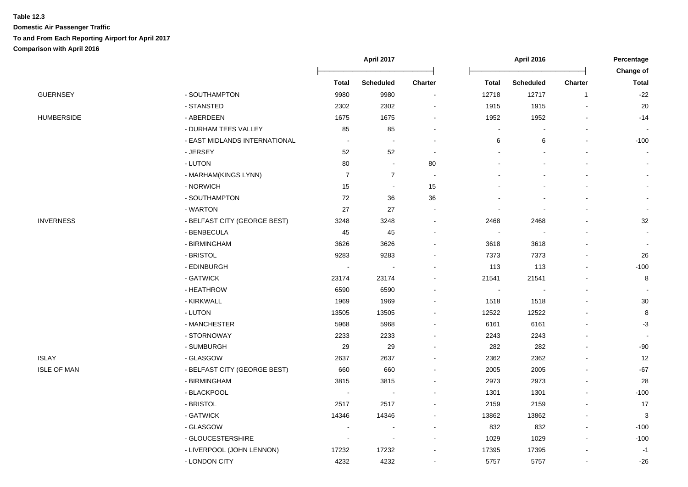|                    |                               | April 2017               |                          |                          | <b>April 2016</b> | Percentage<br><b>Change of</b> |                |                |
|--------------------|-------------------------------|--------------------------|--------------------------|--------------------------|-------------------|--------------------------------|----------------|----------------|
|                    |                               | <b>Total</b>             | <b>Scheduled</b>         | Charter                  | Total             | <b>Scheduled</b>               | <b>Charter</b> | <b>Total</b>   |
| <b>GUERNSEY</b>    | - SOUTHAMPTON                 | 9980                     | 9980                     | $\overline{a}$           | 12718             | 12717                          | $\overline{1}$ | $-22$          |
|                    | - STANSTED                    | 2302                     | 2302                     |                          | 1915              | 1915                           |                | 20             |
| HUMBERSIDE         | - ABERDEEN                    | 1675                     | 1675                     |                          | 1952              | 1952                           |                | $-14$          |
|                    | - DURHAM TEES VALLEY          | 85                       | 85                       |                          |                   |                                |                |                |
|                    | - EAST MIDLANDS INTERNATIONAL | $\overline{\phantom{a}}$ | $\overline{\phantom{a}}$ |                          | 6                 | 6                              |                | $-100$         |
|                    | - JERSEY                      | 52                       | 52                       | $\overline{a}$           |                   |                                |                |                |
|                    | - LUTON                       | 80                       | $\blacksquare$           | 80                       |                   |                                |                |                |
|                    | - MARHAM(KINGS LYNN)          | $\overline{7}$           | $\overline{7}$           | $\overline{\phantom{a}}$ |                   |                                |                |                |
|                    | - NORWICH                     | 15                       | $\blacksquare$           | 15                       |                   |                                |                |                |
|                    | - SOUTHAMPTON                 | 72                       | 36                       | 36                       |                   |                                |                |                |
|                    | - WARTON                      | 27                       | 27                       | $\overline{a}$           |                   |                                |                |                |
| <b>INVERNESS</b>   | - BELFAST CITY (GEORGE BEST)  | 3248                     | 3248                     | $\blacksquare$           | 2468              | 2468                           |                | 32             |
|                    | - BENBECULA                   | 45                       | 45                       |                          | $\sim$            | $\blacksquare$                 |                |                |
|                    | - BIRMINGHAM                  | 3626                     | 3626                     |                          | 3618              | 3618                           |                | $\blacksquare$ |
|                    | - BRISTOL                     | 9283                     | 9283                     |                          | 7373              | 7373                           |                | 26             |
|                    | - EDINBURGH                   |                          |                          |                          | 113               | 113                            |                | $-100$         |
|                    | - GATWICK                     | 23174                    | 23174                    |                          | 21541             | 21541                          |                | 8              |
|                    | - HEATHROW                    | 6590                     | 6590                     |                          |                   |                                |                |                |
|                    | - KIRKWALL                    | 1969                     | 1969                     |                          | 1518              | 1518                           |                | 30             |
|                    | - LUTON                       | 13505                    | 13505                    |                          | 12522             | 12522                          |                | 8              |
|                    | - MANCHESTER                  | 5968                     | 5968                     |                          | 6161              | 6161                           |                | $-3$           |
|                    | - STORNOWAY                   | 2233                     | 2233                     |                          | 2243              | 2243                           |                |                |
|                    | - SUMBURGH                    | 29                       | 29                       |                          | 282               | 282                            |                | $-90$          |
| ISLAY              | - GLASGOW                     | 2637                     | 2637                     |                          | 2362              | 2362                           |                | 12             |
| <b>ISLE OF MAN</b> | - BELFAST CITY (GEORGE BEST)  | 660                      | 660                      |                          | 2005              | 2005                           |                | $-67$          |
|                    | - BIRMINGHAM                  | 3815                     | 3815                     |                          | 2973              | 2973                           |                | 28             |
|                    | - BLACKPOOL                   | $\sim$                   | $\sim$                   |                          | 1301              | 1301                           |                | $-100$         |
|                    | - BRISTOL                     | 2517                     | 2517                     |                          | 2159              | 2159                           |                | 17             |
|                    | - GATWICK                     | 14346                    | 14346                    |                          | 13862             | 13862                          |                | 3              |
|                    | - GLASGOW                     |                          |                          |                          | 832               | 832                            |                | $-100$         |
|                    | - GLOUCESTERSHIRE             |                          |                          |                          | 1029              | 1029                           |                | $-100$         |
|                    | - LIVERPOOL (JOHN LENNON)     | 17232                    | 17232                    |                          | 17395             | 17395                          |                | $-1$           |
|                    | - LONDON CITY                 | 4232                     | 4232                     | $\blacksquare$           | 5757              | 5757                           |                | $-26$          |
|                    |                               |                          |                          |                          |                   |                                |                |                |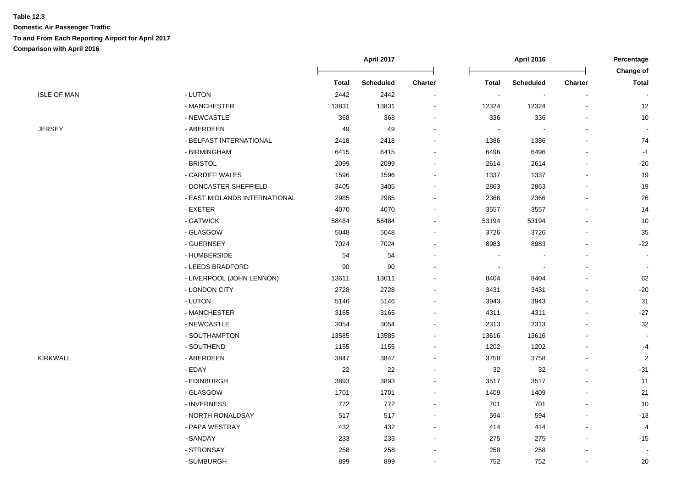|                    |                               | April 2017   |                  |                          |                | <b>April 2016</b>        |                |                           |
|--------------------|-------------------------------|--------------|------------------|--------------------------|----------------|--------------------------|----------------|---------------------------|
|                    |                               | <b>Total</b> | <b>Scheduled</b> | <b>Charter</b>           | <b>Total</b>   | <b>Scheduled</b>         | <b>Charter</b> | Change of<br><b>Total</b> |
| <b>ISLE OF MAN</b> | - LUTON                       | 2442         | 2442             | $\blacksquare$           | $\blacksquare$ | $\overline{\phantom{a}}$ |                |                           |
|                    | - MANCHESTER                  | 13831        | 13831            | $\blacksquare$           | 12324          | 12324                    |                | 12                        |
|                    | - NEWCASTLE                   | 368          | 368              | $\overline{a}$           | 336            | 336                      |                | 10                        |
| <b>JERSEY</b>      | - ABERDEEN                    | 49           | 49               |                          |                |                          |                | $\sim$                    |
|                    | - BELFAST INTERNATIONAL       | 2418         | 2418             |                          | 1386           | 1386                     |                | 74                        |
|                    | - BIRMINGHAM                  | 6415         | 6415             |                          | 6496           | 6496                     |                | $-1$                      |
|                    | - BRISTOL                     | 2099         | 2099             | $\overline{a}$           | 2614           | 2614                     |                | $-20$                     |
|                    | - CARDIFF WALES               | 1596         | 1596             |                          | 1337           | 1337                     |                | 19                        |
|                    | - DONCASTER SHEFFIELD         | 3405         | 3405             | $\overline{\phantom{a}}$ | 2863           | 2863                     |                | 19                        |
|                    | - EAST MIDLANDS INTERNATIONAL | 2985         | 2985             | $\blacksquare$           | 2366           | 2366                     |                | $26\,$                    |
|                    | - EXETER                      | 4070         | 4070             | $\overline{a}$           | 3557           | 3557                     |                | 14                        |
|                    | - GATWICK                     | 58484        | 58484            | $\blacksquare$           | 53194          | 53194                    |                | $10$                      |
|                    | - GLASGOW                     | 5048         | 5048             | $\blacksquare$           | 3726           | 3726                     |                | 35                        |
|                    | - GUERNSEY                    | 7024         | 7024             |                          | 8983           | 8983                     |                | $-22$                     |
|                    | - HUMBERSIDE                  | 54           | 54               |                          |                |                          |                | $\sim$                    |
|                    | - LEEDS BRADFORD              | 90           | 90               |                          |                |                          |                | $\blacksquare$            |
|                    | - LIVERPOOL (JOHN LENNON)     | 13611        | 13611            |                          | 8404           | 8404                     |                | 62                        |
|                    | - LONDON CITY                 | 2728         | 2728             |                          | 3431           | 3431                     |                | $-20$                     |
|                    | - LUTON                       | 5146         | 5146             |                          | 3943           | 3943                     |                | 31                        |
|                    | - MANCHESTER                  | 3165         | 3165             | $\blacksquare$           | 4311           | 4311                     |                | $-27$                     |
|                    | - NEWCASTLE                   | 3054         | 3054             | $\overline{\phantom{a}}$ | 2313           | 2313                     |                | 32                        |
|                    | - SOUTHAMPTON                 | 13585        | 13585            | $\blacksquare$           | 13616          | 13616                    |                |                           |
|                    | - SOUTHEND                    | 1155         | 1155             | $\overline{a}$           | 1202           | 1202                     |                | $-4$                      |
| <b>KIRKWALL</b>    | - ABERDEEN                    | 3847         | 3847             |                          | 3758           | 3758                     |                | $\overline{2}$            |
|                    | - EDAY                        | 22           | 22               |                          | 32             | 32                       |                | $-31$                     |
|                    | - EDINBURGH                   | 3893         | 3893             |                          | 3517           | 3517                     |                | 11                        |
|                    | - GLASGOW                     | 1701         | 1701             | $\blacksquare$           | 1409           | 1409                     |                | 21                        |
|                    | - INVERNESS                   | 772          | 772              | $\blacksquare$           | 701            | 701                      |                | 10                        |
|                    | - NORTH RONALDSAY             | 517          | 517              |                          | 594            | 594                      |                | $-13$                     |
|                    | - PAPA WESTRAY                | 432          | 432              |                          | 414            | 414                      |                | 4                         |
|                    | - SANDAY                      | 233          | 233              | $\overline{\phantom{a}}$ | 275            | 275                      |                | $-15$                     |
|                    | - STRONSAY                    | 258          | 258              |                          | 258            | 258                      |                |                           |
|                    | - SUMBURGH                    | 899          | 899              | $\overline{a}$           | 752            | 752                      |                | 20                        |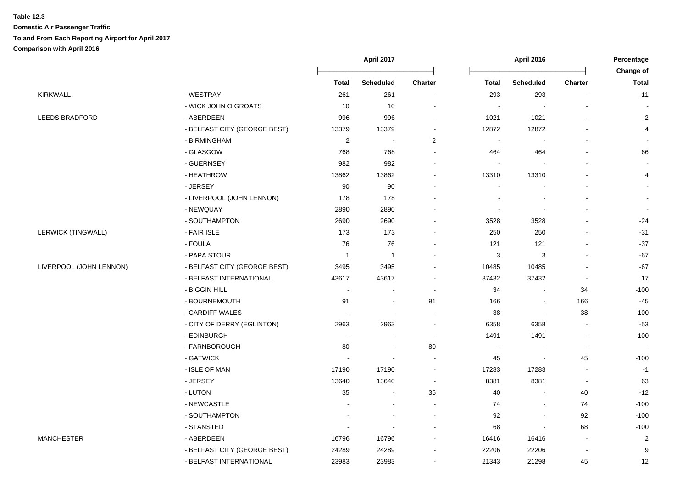|                         |                              | April 2017               |                          |                          | April 2016               | Percentage               |                          |                                  |
|-------------------------|------------------------------|--------------------------|--------------------------|--------------------------|--------------------------|--------------------------|--------------------------|----------------------------------|
|                         |                              | <b>Total</b>             | <b>Scheduled</b>         | Charter                  | <b>Total</b>             | <b>Scheduled</b>         | <b>Charter</b>           | <b>Change of</b><br><b>Total</b> |
| KIRKWALL                | - WESTRAY                    | 261                      | 261                      | $\blacksquare$           | 293                      | 293                      |                          | $-11$                            |
|                         | - WICK JOHN O GROATS         | 10                       | 10                       |                          |                          |                          |                          |                                  |
| <b>LEEDS BRADFORD</b>   | - ABERDEEN                   | 996                      | 996                      |                          | 1021                     | 1021                     |                          | $-2$                             |
|                         | - BELFAST CITY (GEORGE BEST) | 13379                    | 13379                    |                          | 12872                    | 12872                    |                          | 4                                |
|                         | - BIRMINGHAM                 | $\overline{\mathbf{c}}$  | $\overline{\phantom{a}}$ | 2                        | $\overline{\phantom{a}}$ |                          |                          |                                  |
|                         | - GLASGOW                    | 768                      | 768                      | $\blacksquare$           | 464                      | 464                      |                          | 66                               |
|                         | - GUERNSEY                   | 982                      | 982                      |                          |                          |                          |                          |                                  |
|                         | - HEATHROW                   | 13862                    | 13862                    | $\blacksquare$           | 13310                    | 13310                    |                          | 4                                |
|                         | - JERSEY                     | 90                       | 90                       |                          |                          |                          |                          |                                  |
|                         | - LIVERPOOL (JOHN LENNON)    | 178                      | 178                      |                          |                          |                          |                          |                                  |
|                         | - NEWQUAY                    | 2890                     | 2890                     |                          |                          |                          |                          |                                  |
|                         | - SOUTHAMPTON                | 2690                     | 2690                     |                          | 3528                     | 3528                     |                          | $-24$                            |
| LERWICK (TINGWALL)      | - FAIR ISLE                  | 173                      | 173                      |                          | 250                      | 250                      |                          | $-31$                            |
|                         | - FOULA                      | 76                       | 76                       |                          | 121                      | 121                      |                          | $-37$                            |
|                         | - PAPA STOUR                 | $\overline{1}$           | $\overline{1}$           |                          | 3                        | 3                        |                          | $-67$                            |
| LIVERPOOL (JOHN LENNON) | - BELFAST CITY (GEORGE BEST) | 3495                     | 3495                     |                          | 10485                    | 10485                    |                          | $-67$                            |
|                         | - BELFAST INTERNATIONAL      | 43617                    | 43617                    |                          | 37432                    | 37432                    |                          | 17                               |
|                         | - BIGGIN HILL                | ÷,                       |                          | $\blacksquare$           | 34                       | $\overline{\phantom{a}}$ | 34                       | $-100$                           |
|                         | - BOURNEMOUTH                | 91                       | $\blacksquare$           | 91                       | 166                      | $\blacksquare$           | 166                      | $-45$                            |
|                         | - CARDIFF WALES              |                          |                          | $\overline{a}$           | 38                       | $\blacksquare$           | 38                       | $-100$                           |
|                         | - CITY OF DERRY (EGLINTON)   | 2963                     | 2963                     | $\blacksquare$           | 6358                     | 6358                     |                          | $-53$                            |
|                         | - EDINBURGH                  | $\overline{\phantom{a}}$ |                          | $\overline{\phantom{a}}$ | 1491                     | 1491                     | $\overline{\phantom{a}}$ | $-100$                           |
|                         | - FARNBOROUGH                | 80                       | $\overline{\phantom{a}}$ | 80                       |                          |                          | $\overline{\phantom{a}}$ | $\sim$                           |
|                         | - GATWICK                    |                          |                          |                          | 45                       | $\blacksquare$           | 45                       | $-100$                           |
|                         | - ISLE OF MAN                | 17190                    | 17190                    | $\blacksquare$           | 17283                    | 17283                    | $\overline{\phantom{a}}$ | $-1$                             |
|                         | - JERSEY                     | 13640                    | 13640                    | $\overline{\phantom{a}}$ | 8381                     | 8381                     |                          | 63                               |
|                         | - LUTON                      | 35                       |                          | 35                       | 40                       |                          | $40\,$                   | $-12$                            |
|                         | - NEWCASTLE                  |                          |                          |                          | 74                       |                          | 74                       | $-100$                           |
|                         | - SOUTHAMPTON                |                          |                          | $\blacksquare$           | 92                       | $\overline{a}$           | 92                       | $-100$                           |
|                         | - STANSTED                   |                          |                          |                          | 68                       | $\blacksquare$           | 68                       | $-100$                           |
| <b>MANCHESTER</b>       | - ABERDEEN                   | 16796                    | 16796                    |                          | 16416                    | 16416                    | $\overline{\phantom{a}}$ | $\overline{2}$                   |
|                         | - BELFAST CITY (GEORGE BEST) | 24289                    | 24289                    |                          | 22206                    | 22206                    |                          | 9                                |
|                         | - BELFAST INTERNATIONAL      | 23983                    | 23983                    | $\blacksquare$           | 21343                    | 21298                    | 45                       | 12                               |
|                         |                              |                          |                          |                          |                          |                          |                          |                                  |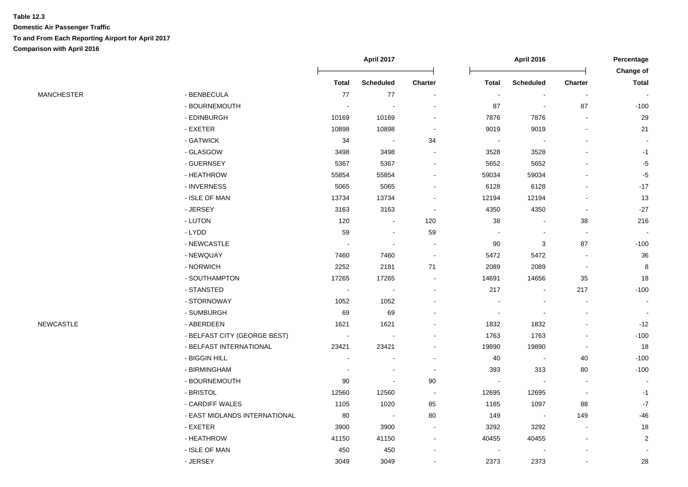|                   |                               | April 2017     |                          |                          | <b>April 2016</b> |                          |                          |                                  |
|-------------------|-------------------------------|----------------|--------------------------|--------------------------|-------------------|--------------------------|--------------------------|----------------------------------|
|                   |                               | <b>Total</b>   | <b>Scheduled</b>         | Charter                  | <b>Total</b>      | <b>Scheduled</b>         | <b>Charter</b>           | <b>Change of</b><br><b>Total</b> |
| <b>MANCHESTER</b> | - BENBECULA                   | 77             | $77$                     | $\overline{a}$           | $\sim$            | $\blacksquare$           | $\sim$                   | $\sim$                           |
|                   | - BOURNEMOUTH                 | $\sim$         | ÷,                       |                          | 87                | $\blacksquare$           | 87                       | $-100$                           |
|                   | - EDINBURGH                   | 10169          | 10169                    |                          | 7876              | 7876                     | $\overline{\phantom{a}}$ | 29                               |
|                   | - EXETER                      | 10898          | 10898                    |                          | 9019              | 9019                     |                          | 21                               |
|                   | - GATWICK                     | 34             | $\overline{\phantom{a}}$ | 34                       |                   |                          |                          |                                  |
|                   | - GLASGOW                     | 3498           | 3498                     |                          | 3528              | 3528                     |                          | $-1$                             |
|                   | - GUERNSEY                    | 5367           | 5367                     | $\blacksquare$           | 5652              | 5652                     |                          | $-5$                             |
|                   | - HEATHROW                    | 55854          | 55854                    | $\blacksquare$           | 59034             | 59034                    |                          | $-5$                             |
|                   | - INVERNESS                   | 5065           | 5065                     | $\blacksquare$           | 6128              | 6128                     | $\overline{\phantom{a}}$ | $-17$                            |
|                   | - ISLE OF MAN                 | 13734          | 13734                    | $\blacksquare$           | 12194             | 12194                    | $\overline{a}$           | 13                               |
|                   | - JERSEY                      | 3163           | 3163                     | $\overline{\phantom{a}}$ | 4350              | 4350                     | $\blacksquare$           | $-27$                            |
|                   | - LUTON                       | 120            | $\blacksquare$           | 120                      | 38                | $\overline{\phantom{a}}$ | 38                       | 216                              |
|                   | - LYDD                        | 59             | ÷,                       | 59                       |                   | $\overline{\phantom{a}}$ | $\sim$                   | $\sim$                           |
|                   | - NEWCASTLE                   | $\blacksquare$ | $\blacksquare$           |                          | 90                | 3                        | 87                       | $-100$                           |
|                   | - NEWQUAY                     | 7460           | 7460                     | $\blacksquare$           | 5472              | 5472                     | $\overline{\phantom{a}}$ | 36                               |
|                   | - NORWICH                     | 2252           | 2181                     | $71$                     | 2089              | 2089                     | $\blacksquare$           | 8                                |
|                   | - SOUTHAMPTON                 | 17265          | 17265                    |                          | 14691             | 14656                    | 35                       | 18                               |
|                   | - STANSTED                    | $\blacksquare$ | $\blacksquare$           | $\overline{\phantom{a}}$ | 217               | $\overline{\phantom{a}}$ | 217                      | $-100$                           |
|                   | - STORNOWAY                   | 1052           | 1052                     | $\overline{a}$           |                   |                          | $\overline{\phantom{a}}$ | $\blacksquare$                   |
|                   | - SUMBURGH                    | 69             | 69                       |                          | $\blacksquare$    | $\blacksquare$           | $\overline{a}$           |                                  |
| NEWCASTLE         | - ABERDEEN                    | 1621           | 1621                     |                          | 1832              | 1832                     |                          | $-12$                            |
|                   | - BELFAST CITY (GEORGE BEST)  |                |                          |                          | 1763              | 1763                     |                          | $-100$                           |
|                   | - BELFAST INTERNATIONAL       | 23421          | 23421                    |                          | 19890             | 19890                    |                          | 18                               |
|                   | - BIGGIN HILL                 |                |                          |                          | 40                | $\blacksquare$           | 40                       | $-100$                           |
|                   | - BIRMINGHAM                  | ÷,             |                          | $\blacksquare$           | 393               | 313                      | $80\,$                   | $-100$                           |
|                   | - BOURNEMOUTH                 | 90             |                          | 90                       |                   | $\overline{\phantom{a}}$ | $\overline{\phantom{a}}$ |                                  |
|                   | - BRISTOL                     | 12560          | 12560                    | $\blacksquare$           | 12695             | 12695                    | $\overline{\phantom{a}}$ | $-1$                             |
|                   | - CARDIFF WALES               | 1105           | 1020                     | 85                       | 1185              | 1097                     | 88                       | $\textnormal{-}7$                |
|                   | - EAST MIDLANDS INTERNATIONAL | 80             | $\sim$                   | 80                       | 149               | $\sim$                   | 149                      | $-46$                            |
|                   | - EXETER                      | 3900           | 3900                     | $\overline{a}$           | 3292              | 3292                     | $\blacksquare$           | $18\,$                           |
|                   | - HEATHROW                    | 41150          | 41150                    |                          | 40455             | 40455                    |                          | $\overline{c}$                   |
|                   | - ISLE OF MAN                 | 450            | 450                      |                          |                   |                          |                          |                                  |
|                   | - JERSEY                      | 3049           | 3049                     |                          | 2373              | 2373                     |                          | 28                               |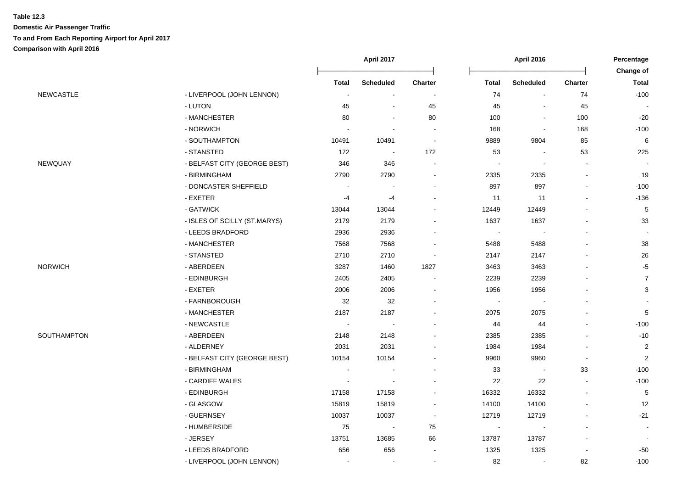|                  |                              | <b>April 2017</b> |                  |                          | <b>April 2016</b>        |                  |                |                                  |
|------------------|------------------------------|-------------------|------------------|--------------------------|--------------------------|------------------|----------------|----------------------------------|
|                  |                              | <b>Total</b>      | <b>Scheduled</b> | <b>Charter</b>           | <b>Total</b>             | <b>Scheduled</b> | Charter        | <b>Change of</b><br><b>Total</b> |
| <b>NEWCASTLE</b> | - LIVERPOOL (JOHN LENNON)    | $\blacksquare$    |                  |                          | 74                       | $\sim$           | 74             | $-100$                           |
|                  | - LUTON                      | 45                |                  | 45                       | 45                       |                  | 45             |                                  |
|                  | - MANCHESTER                 | 80                |                  | 80                       | 100                      |                  | 100            | $-20$                            |
|                  | - NORWICH                    |                   |                  |                          | 168                      |                  | 168            | $-100$                           |
|                  | - SOUTHAMPTON                | 10491             | 10491            |                          | 9889                     | 9804             | 85             | $\,6\,$                          |
|                  | - STANSTED                   | 172               |                  | 172                      | 53                       |                  | 53             | 225                              |
| NEWQUAY          | - BELFAST CITY (GEORGE BEST) | 346               | 346              |                          |                          |                  |                |                                  |
|                  | - BIRMINGHAM                 | 2790              | 2790             |                          | 2335                     | 2335             | $\blacksquare$ | 19                               |
|                  | - DONCASTER SHEFFIELD        | $\blacksquare$    |                  |                          | 897                      | 897              |                | $-100$                           |
|                  | - EXETER                     | $-4$              | $-4$             |                          | 11                       | 11               |                | $-136$                           |
|                  | - GATWICK                    | 13044             | 13044            |                          | 12449                    | 12449            |                | $\,$ 5 $\,$                      |
|                  | - ISLES OF SCILLY (ST.MARYS) | 2179              | 2179             |                          | 1637                     | 1637             |                | 33                               |
|                  | - LEEDS BRADFORD             | 2936              | 2936             |                          | $\overline{\phantom{a}}$ |                  |                |                                  |
|                  | - MANCHESTER                 | 7568              | 7568             |                          | 5488                     | 5488             |                | 38                               |
|                  | - STANSTED                   | 2710              | 2710             | $\overline{\phantom{a}}$ | 2147                     | 2147             |                | 26                               |
| NORWICH          | - ABERDEEN                   | 3287              | 1460             | 1827                     | 3463                     | 3463             |                | $-5$                             |
|                  | - EDINBURGH                  | 2405              | 2405             |                          | 2239                     | 2239             |                | $\overline{7}$                   |
|                  | - EXETER                     | 2006              | 2006             |                          | 1956                     | 1956             |                | $\mathbf{3}$                     |
|                  | - FARNBOROUGH                | 32                | 32               |                          |                          |                  |                |                                  |
|                  | - MANCHESTER                 | 2187              | 2187             |                          | 2075                     | 2075             |                | 5                                |
|                  | - NEWCASTLE                  | $\sim$            |                  |                          | 44                       | 44               |                | $-100$                           |
| SOUTHAMPTON      | - ABERDEEN                   | 2148              | 2148             |                          | 2385                     | 2385             |                | $-10$                            |
|                  | - ALDERNEY                   | 2031              | 2031             |                          | 1984                     | 1984             |                | $\overline{2}$                   |
|                  | - BELFAST CITY (GEORGE BEST) | 10154             | 10154            |                          | 9960                     | 9960             | $\sim$         | $\overline{2}$                   |
|                  | - BIRMINGHAM                 | $\sim$            |                  |                          | 33                       | $\blacksquare$   | 33             | $-100$                           |
|                  | - CARDIFF WALES              |                   |                  |                          | 22                       | 22               |                | $-100$                           |
|                  | - EDINBURGH                  | 17158             | 17158            |                          | 16332                    | 16332            |                | $\sqrt{5}$                       |
|                  | - GLASGOW                    | 15819             | 15819            |                          | 14100                    | 14100            |                | 12                               |
|                  | - GUERNSEY                   | 10037             | 10037            |                          | 12719                    | 12719            |                | $-21$                            |
|                  | - HUMBERSIDE                 | 75                |                  | ${\bf 75}$               |                          |                  |                |                                  |
|                  | - JERSEY                     | 13751             | 13685            | 66                       | 13787                    | 13787            |                |                                  |
|                  | - LEEDS BRADFORD             | 656               | 656              |                          | 1325                     | 1325             |                | -50                              |
|                  | - LIVERPOOL (JOHN LENNON)    |                   |                  |                          | 82                       |                  | 82             | $-100$                           |
|                  |                              |                   |                  |                          |                          |                  |                |                                  |